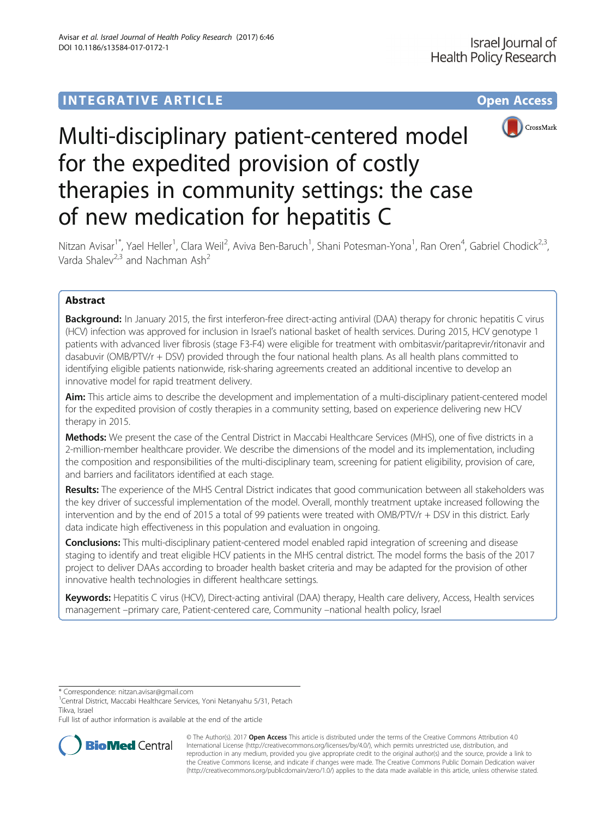# **INTEGRATIVE ARTICLE Example 2018 10 Access Open Access**



# Multi-disciplinary patient-centered model for the expedited provision of costly therapies in community settings: the case of new medication for hepatitis C

Nitzan Avisar<sup>1\*</sup>, Yael Heller<sup>1</sup>, Clara Weil<sup>2</sup>, Aviva Ben-Baruch<sup>1</sup>, Shani Potesman-Yona<sup>1</sup>, Ran Oren<sup>4</sup>, Gabriel Chodick<sup>2,3</sup>, Varda Shalev<sup>2,3</sup> and Nachman Ash<sup>2</sup>

# Abstract

**Background:** In January 2015, the first interferon-free direct-acting antiviral (DAA) therapy for chronic hepatitis C virus (HCV) infection was approved for inclusion in Israel's national basket of health services. During 2015, HCV genotype 1 patients with advanced liver fibrosis (stage F3-F4) were eligible for treatment with ombitasvir/paritaprevir/ritonavir and dasabuvir (OMB/PTV/r + DSV) provided through the four national health plans. As all health plans committed to identifying eligible patients nationwide, risk-sharing agreements created an additional incentive to develop an innovative model for rapid treatment delivery.

Aim: This article aims to describe the development and implementation of a multi-disciplinary patient-centered model for the expedited provision of costly therapies in a community setting, based on experience delivering new HCV therapy in 2015.

Methods: We present the case of the Central District in Maccabi Healthcare Services (MHS), one of five districts in a 2-million-member healthcare provider. We describe the dimensions of the model and its implementation, including the composition and responsibilities of the multi-disciplinary team, screening for patient eligibility, provision of care, and barriers and facilitators identified at each stage.

Results: The experience of the MHS Central District indicates that good communication between all stakeholders was the key driver of successful implementation of the model. Overall, monthly treatment uptake increased following the intervention and by the end of 2015 a total of 99 patients were treated with OMB/PTV/r + DSV in this district. Early data indicate high effectiveness in this population and evaluation in ongoing.

Conclusions: This multi-disciplinary patient-centered model enabled rapid integration of screening and disease staging to identify and treat eligible HCV patients in the MHS central district. The model forms the basis of the 2017 project to deliver DAAs according to broader health basket criteria and may be adapted for the provision of other innovative health technologies in different healthcare settings.

Keywords: Hepatitis C virus (HCV), Direct-acting antiviral (DAA) therapy, Health care delivery, Access, Health services management –primary care, Patient-centered care, Community –national health policy, Israel

\* Correspondence: [nitzan.avisar@gmail.com](mailto:nitzan.avisar@gmail.com) <sup>1</sup>

Central District, Maccabi Healthcare Services, Yoni Netanyahu 5/31, Petach Tikva, Israel

Full list of author information is available at the end of the article



© The Author(s). 2017 **Open Access** This article is distributed under the terms of the Creative Commons Attribution 4.0 International License [\(http://creativecommons.org/licenses/by/4.0/](http://creativecommons.org/licenses/by/4.0/)), which permits unrestricted use, distribution, and reproduction in any medium, provided you give appropriate credit to the original author(s) and the source, provide a link to the Creative Commons license, and indicate if changes were made. The Creative Commons Public Domain Dedication waiver [\(http://creativecommons.org/publicdomain/zero/1.0/](http://creativecommons.org/publicdomain/zero/1.0/)) applies to the data made available in this article, unless otherwise stated.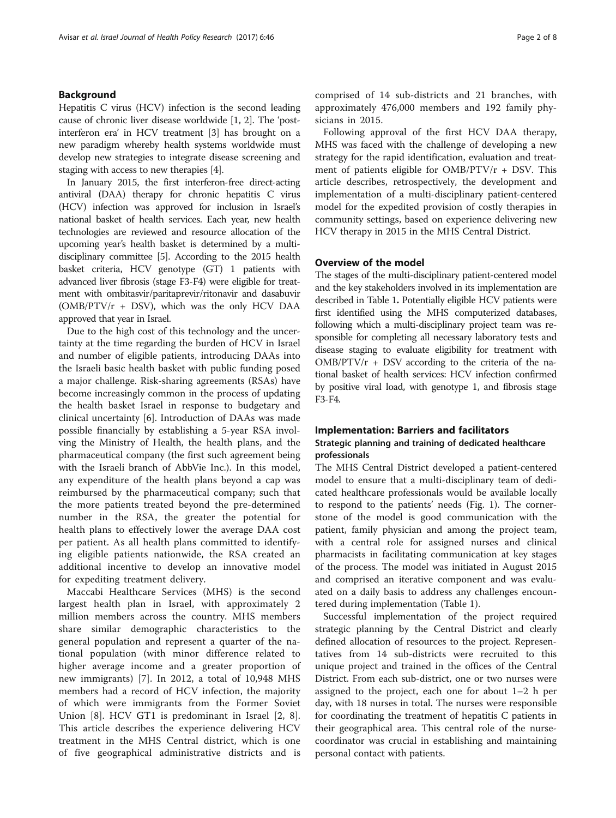# Background

Hepatitis C virus (HCV) infection is the second leading cause of chronic liver disease worldwide [[1, 2\]](#page-6-0). The 'postinterferon era' in HCV treatment [\[3](#page-6-0)] has brought on a new paradigm whereby health systems worldwide must develop new strategies to integrate disease screening and staging with access to new therapies [[4](#page-6-0)].

In January 2015, the first interferon-free direct-acting antiviral (DAA) therapy for chronic hepatitis C virus (HCV) infection was approved for inclusion in Israel's national basket of health services. Each year, new health technologies are reviewed and resource allocation of the upcoming year's health basket is determined by a multidisciplinary committee [[5\]](#page-6-0). According to the 2015 health basket criteria, HCV genotype (GT) 1 patients with advanced liver fibrosis (stage F3-F4) were eligible for treatment with ombitasvir/paritaprevir/ritonavir and dasabuvir (OMB/PTV/r + DSV), which was the only HCV DAA approved that year in Israel.

Due to the high cost of this technology and the uncertainty at the time regarding the burden of HCV in Israel and number of eligible patients, introducing DAAs into the Israeli basic health basket with public funding posed a major challenge. Risk-sharing agreements (RSAs) have become increasingly common in the process of updating the health basket Israel in response to budgetary and clinical uncertainty [[6\]](#page-6-0). Introduction of DAAs was made possible financially by establishing a 5-year RSA involving the Ministry of Health, the health plans, and the pharmaceutical company (the first such agreement being with the Israeli branch of AbbVie Inc.). In this model, any expenditure of the health plans beyond a cap was reimbursed by the pharmaceutical company; such that the more patients treated beyond the pre-determined number in the RSA, the greater the potential for health plans to effectively lower the average DAA cost per patient. As all health plans committed to identifying eligible patients nationwide, the RSA created an additional incentive to develop an innovative model for expediting treatment delivery.

Maccabi Healthcare Services (MHS) is the second largest health plan in Israel, with approximately 2 million members across the country. MHS members share similar demographic characteristics to the general population and represent a quarter of the national population (with minor difference related to higher average income and a greater proportion of new immigrants) [[7\]](#page-6-0). In 2012, a total of 10,948 MHS members had a record of HCV infection, the majority of which were immigrants from the Former Soviet Union [[8\]](#page-6-0). HCV GT1 is predominant in Israel [\[2](#page-6-0), [8](#page-6-0)]. This article describes the experience delivering HCV treatment in the MHS Central district, which is one of five geographical administrative districts and is comprised of 14 sub-districts and 21 branches, with approximately 476,000 members and 192 family physicians in 2015.

Following approval of the first HCV DAA therapy, MHS was faced with the challenge of developing a new strategy for the rapid identification, evaluation and treatment of patients eligible for  $OMB/PTV/r + DSV$ . This article describes, retrospectively, the development and implementation of a multi-disciplinary patient-centered model for the expedited provision of costly therapies in community settings, based on experience delivering new HCV therapy in 2015 in the MHS Central District.

# Overview of the model

The stages of the multi-disciplinary patient-centered model and the key stakeholders involved in its implementation are described in Table [1](#page-2-0). Potentially eligible HCV patients were first identified using the MHS computerized databases, following which a multi-disciplinary project team was responsible for completing all necessary laboratory tests and disease staging to evaluate eligibility for treatment with  $OMB/PTV/r + DSV$  according to the criteria of the national basket of health services: HCV infection confirmed by positive viral load, with genotype 1, and fibrosis stage F3-F4.

#### Implementation: Barriers and facilitators

# Strategic planning and training of dedicated healthcare professionals

The MHS Central District developed a patient-centered model to ensure that a multi-disciplinary team of dedicated healthcare professionals would be available locally to respond to the patients' needs (Fig. [1](#page-3-0)). The cornerstone of the model is good communication with the patient, family physician and among the project team, with a central role for assigned nurses and clinical pharmacists in facilitating communication at key stages of the process. The model was initiated in August 2015 and comprised an iterative component and was evaluated on a daily basis to address any challenges encountered during implementation (Table [1](#page-2-0)).

Successful implementation of the project required strategic planning by the Central District and clearly defined allocation of resources to the project. Representatives from 14 sub-districts were recruited to this unique project and trained in the offices of the Central District. From each sub-district, one or two nurses were assigned to the project, each one for about 1–2 h per day, with 18 nurses in total. The nurses were responsible for coordinating the treatment of hepatitis C patients in their geographical area. This central role of the nursecoordinator was crucial in establishing and maintaining personal contact with patients.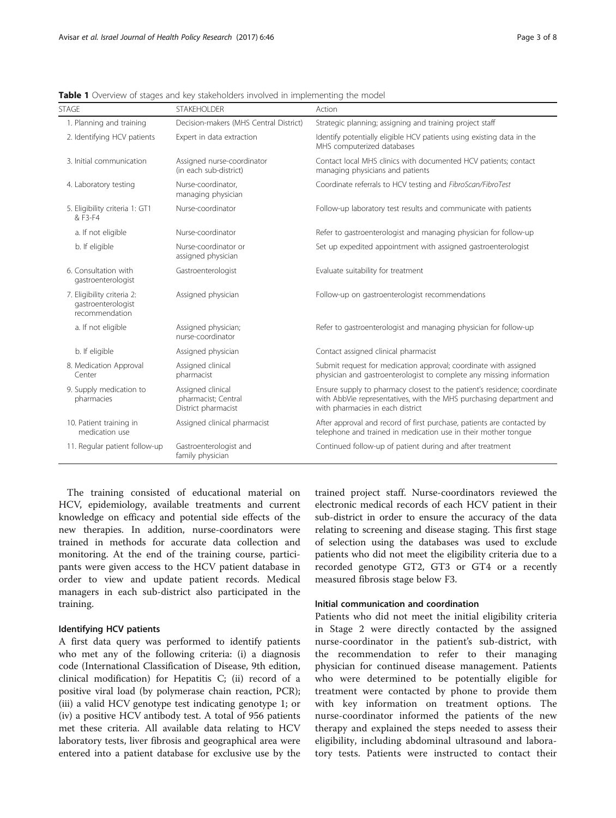| <b>STAGE</b>                                                       | <b>STAKEHOLDER</b>                                              | Action                                                                                                                                                                              |  |
|--------------------------------------------------------------------|-----------------------------------------------------------------|-------------------------------------------------------------------------------------------------------------------------------------------------------------------------------------|--|
| 1. Planning and training                                           | Decision-makers (MHS Central District)                          | Strategic planning; assigning and training project staff                                                                                                                            |  |
| 2. Identifying HCV patients                                        | Expert in data extraction                                       | Identify potentially eligible HCV patients using existing data in the<br>MHS computerized databases                                                                                 |  |
| 3. Initial communication                                           | Assigned nurse-coordinator<br>(in each sub-district)            | Contact local MHS clinics with documented HCV patients; contact<br>managing physicians and patients                                                                                 |  |
| 4. Laboratory testing                                              | Nurse-coordinator,<br>managing physician                        | Coordinate referrals to HCV testing and FibroScan/FibroTest                                                                                                                         |  |
| 5. Eligibility criteria 1: GT1<br>& F3-F4                          | Nurse-coordinator                                               | Follow-up laboratory test results and communicate with patients                                                                                                                     |  |
| a. If not eligible                                                 | Nurse-coordinator                                               | Refer to gastroenterologist and managing physician for follow-up                                                                                                                    |  |
| b. If eligible                                                     | Nurse-coordinator or<br>assigned physician                      | Set up expedited appointment with assigned gastroenterologist                                                                                                                       |  |
| 6. Consultation with<br>gastroenterologist                         | Gastroenterologist                                              | Evaluate suitability for treatment                                                                                                                                                  |  |
| 7. Eligibility criteria 2:<br>gastroenterologist<br>recommendation | Assigned physician                                              | Follow-up on gastroenterologist recommendations                                                                                                                                     |  |
| a. If not eligible                                                 | Assigned physician;<br>nurse-coordinator                        | Refer to gastroenterologist and managing physician for follow-up                                                                                                                    |  |
| b. If eligible                                                     | Assigned physician                                              | Contact assigned clinical pharmacist                                                                                                                                                |  |
| 8. Medication Approval<br>Center                                   | Assigned clinical<br>pharmacist                                 | Submit request for medication approval; coordinate with assigned<br>physician and gastroenterologist to complete any missing information                                            |  |
| 9. Supply medication to<br>pharmacies                              | Assigned clinical<br>pharmacist; Central<br>District pharmacist | Ensure supply to pharmacy closest to the patient's residence; coordinate<br>with AbbVie representatives, with the MHS purchasing department and<br>with pharmacies in each district |  |
| 10. Patient training in<br>medication use                          | Assigned clinical pharmacist                                    | After approval and record of first purchase, patients are contacted by<br>telephone and trained in medication use in their mother tonque                                            |  |
| 11. Regular patient follow-up                                      | Gastroenterologist and<br>family physician                      | Continued follow-up of patient during and after treatment                                                                                                                           |  |

<span id="page-2-0"></span>Table 1 Overview of stages and key stakeholders involved in implementing the model

The training consisted of educational material on HCV, epidemiology, available treatments and current knowledge on efficacy and potential side effects of the new therapies. In addition, nurse-coordinators were trained in methods for accurate data collection and monitoring. At the end of the training course, participants were given access to the HCV patient database in order to view and update patient records. Medical managers in each sub-district also participated in the training.

# Identifying HCV patients

A first data query was performed to identify patients who met any of the following criteria: (i) a diagnosis code (International Classification of Disease, 9th edition, clinical modification) for Hepatitis C; (ii) record of a positive viral load (by polymerase chain reaction, PCR); (iii) a valid HCV genotype test indicating genotype 1; or (iv) a positive HCV antibody test. A total of 956 patients met these criteria. All available data relating to HCV laboratory tests, liver fibrosis and geographical area were entered into a patient database for exclusive use by the trained project staff. Nurse-coordinators reviewed the electronic medical records of each HCV patient in their sub-district in order to ensure the accuracy of the data relating to screening and disease staging. This first stage of selection using the databases was used to exclude patients who did not meet the eligibility criteria due to a recorded genotype GT2, GT3 or GT4 or a recently measured fibrosis stage below F3.

# Initial communication and coordination

Patients who did not meet the initial eligibility criteria in Stage 2 were directly contacted by the assigned nurse-coordinator in the patient's sub-district, with the recommendation to refer to their managing physician for continued disease management. Patients who were determined to be potentially eligible for treatment were contacted by phone to provide them with key information on treatment options. The nurse-coordinator informed the patients of the new therapy and explained the steps needed to assess their eligibility, including abdominal ultrasound and laboratory tests. Patients were instructed to contact their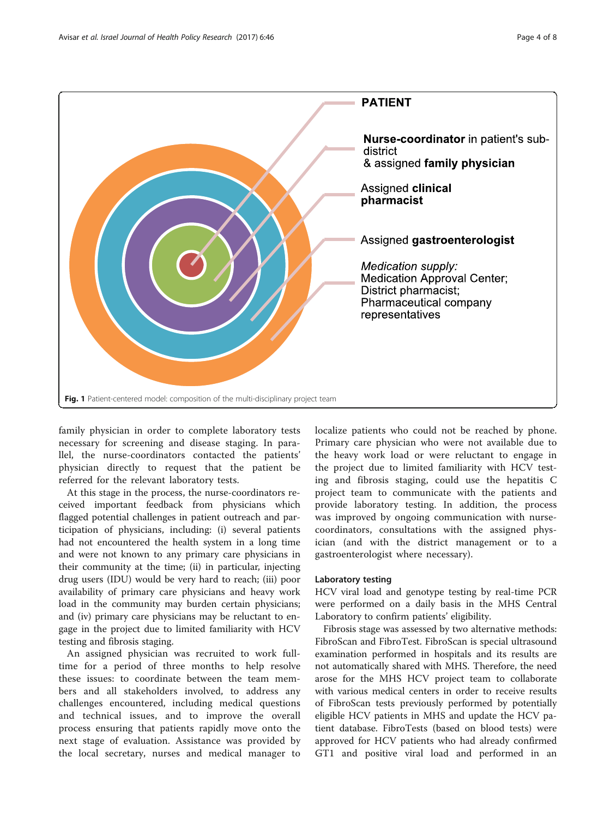<span id="page-3-0"></span>

family physician in order to complete laboratory tests necessary for screening and disease staging. In parallel, the nurse-coordinators contacted the patients' physician directly to request that the patient be referred for the relevant laboratory tests.

At this stage in the process, the nurse-coordinators received important feedback from physicians which flagged potential challenges in patient outreach and participation of physicians, including: (i) several patients had not encountered the health system in a long time and were not known to any primary care physicians in their community at the time; (ii) in particular, injecting drug users (IDU) would be very hard to reach; (iii) poor availability of primary care physicians and heavy work load in the community may burden certain physicians; and (iv) primary care physicians may be reluctant to engage in the project due to limited familiarity with HCV testing and fibrosis staging.

An assigned physician was recruited to work fulltime for a period of three months to help resolve these issues: to coordinate between the team members and all stakeholders involved, to address any challenges encountered, including medical questions and technical issues, and to improve the overall process ensuring that patients rapidly move onto the next stage of evaluation. Assistance was provided by the local secretary, nurses and medical manager to

localize patients who could not be reached by phone. Primary care physician who were not available due to the heavy work load or were reluctant to engage in the project due to limited familiarity with HCV testing and fibrosis staging, could use the hepatitis C project team to communicate with the patients and provide laboratory testing. In addition, the process was improved by ongoing communication with nursecoordinators, consultations with the assigned physician (and with the district management or to a gastroenterologist where necessary).

# Laboratory testing

HCV viral load and genotype testing by real-time PCR were performed on a daily basis in the MHS Central Laboratory to confirm patients' eligibility.

Fibrosis stage was assessed by two alternative methods: FibroScan and FibroTest. FibroScan is special ultrasound examination performed in hospitals and its results are not automatically shared with MHS. Therefore, the need arose for the MHS HCV project team to collaborate with various medical centers in order to receive results of FibroScan tests previously performed by potentially eligible HCV patients in MHS and update the HCV patient database. FibroTests (based on blood tests) were approved for HCV patients who had already confirmed GT1 and positive viral load and performed in an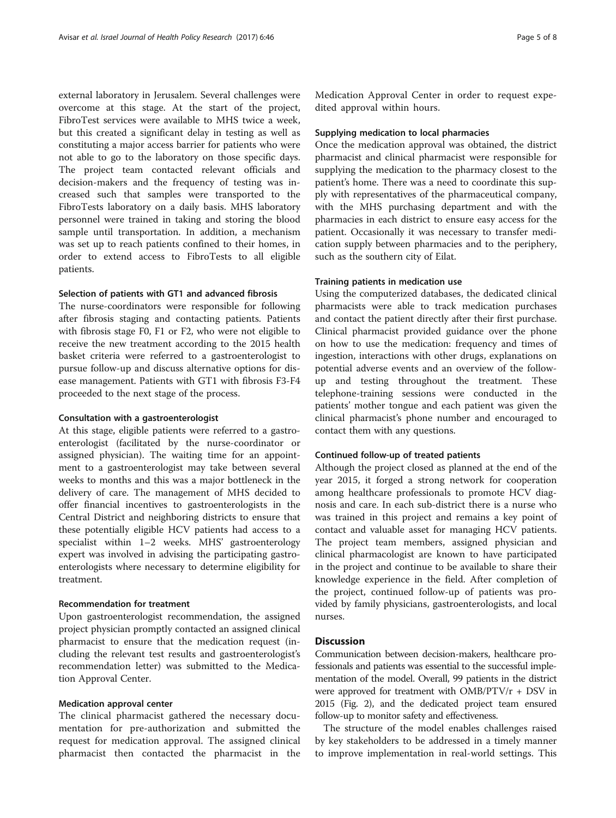external laboratory in Jerusalem. Several challenges were overcome at this stage. At the start of the project, FibroTest services were available to MHS twice a week, but this created a significant delay in testing as well as constituting a major access barrier for patients who were not able to go to the laboratory on those specific days. The project team contacted relevant officials and decision-makers and the frequency of testing was increased such that samples were transported to the FibroTests laboratory on a daily basis. MHS laboratory personnel were trained in taking and storing the blood sample until transportation. In addition, a mechanism was set up to reach patients confined to their homes, in order to extend access to FibroTests to all eligible patients.

# Selection of patients with GT1 and advanced fibrosis

The nurse-coordinators were responsible for following after fibrosis staging and contacting patients. Patients with fibrosis stage F0, F1 or F2, who were not eligible to receive the new treatment according to the 2015 health basket criteria were referred to a gastroenterologist to pursue follow-up and discuss alternative options for disease management. Patients with GT1 with fibrosis F3-F4 proceeded to the next stage of the process.

### Consultation with a gastroenterologist

At this stage, eligible patients were referred to a gastroenterologist (facilitated by the nurse-coordinator or assigned physician). The waiting time for an appointment to a gastroenterologist may take between several weeks to months and this was a major bottleneck in the delivery of care. The management of MHS decided to offer financial incentives to gastroenterologists in the Central District and neighboring districts to ensure that these potentially eligible HCV patients had access to a specialist within 1–2 weeks. MHS' gastroenterology expert was involved in advising the participating gastroenterologists where necessary to determine eligibility for treatment.

# Recommendation for treatment

Upon gastroenterologist recommendation, the assigned project physician promptly contacted an assigned clinical pharmacist to ensure that the medication request (including the relevant test results and gastroenterologist's recommendation letter) was submitted to the Medication Approval Center.

# Medication approval center

The clinical pharmacist gathered the necessary documentation for pre-authorization and submitted the request for medication approval. The assigned clinical pharmacist then contacted the pharmacist in the Medication Approval Center in order to request expedited approval within hours.

#### Supplying medication to local pharmacies

Once the medication approval was obtained, the district pharmacist and clinical pharmacist were responsible for supplying the medication to the pharmacy closest to the patient's home. There was a need to coordinate this supply with representatives of the pharmaceutical company, with the MHS purchasing department and with the pharmacies in each district to ensure easy access for the patient. Occasionally it was necessary to transfer medication supply between pharmacies and to the periphery, such as the southern city of Eilat.

## Training patients in medication use

Using the computerized databases, the dedicated clinical pharmacists were able to track medication purchases and contact the patient directly after their first purchase. Clinical pharmacist provided guidance over the phone on how to use the medication: frequency and times of ingestion, interactions with other drugs, explanations on potential adverse events and an overview of the followup and testing throughout the treatment. These telephone-training sessions were conducted in the patients' mother tongue and each patient was given the clinical pharmacist's phone number and encouraged to contact them with any questions.

### Continued follow-up of treated patients

Although the project closed as planned at the end of the year 2015, it forged a strong network for cooperation among healthcare professionals to promote HCV diagnosis and care. In each sub-district there is a nurse who was trained in this project and remains a key point of contact and valuable asset for managing HCV patients. The project team members, assigned physician and clinical pharmacologist are known to have participated in the project and continue to be available to share their knowledge experience in the field. After completion of the project, continued follow-up of patients was provided by family physicians, gastroenterologists, and local nurses.

# **Discussion**

Communication between decision-makers, healthcare professionals and patients was essential to the successful implementation of the model. Overall, 99 patients in the district were approved for treatment with OMB/PTV/r + DSV in 2015 (Fig. [2\)](#page-5-0), and the dedicated project team ensured follow-up to monitor safety and effectiveness.

The structure of the model enables challenges raised by key stakeholders to be addressed in a timely manner to improve implementation in real-world settings. This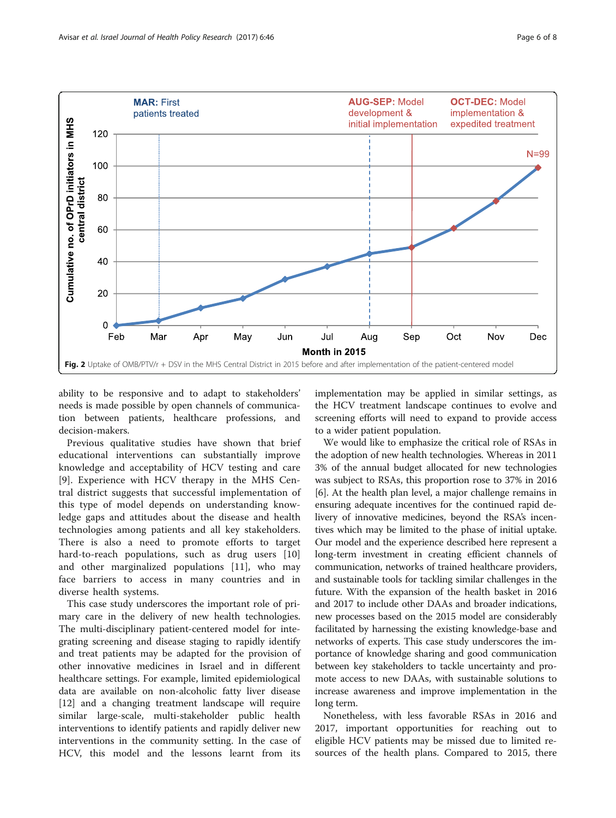<span id="page-5-0"></span>

ability to be responsive and to adapt to stakeholders' needs is made possible by open channels of communication between patients, healthcare professions, and decision-makers.

Previous qualitative studies have shown that brief educational interventions can substantially improve knowledge and acceptability of HCV testing and care [[9\]](#page-6-0). Experience with HCV therapy in the MHS Central district suggests that successful implementation of this type of model depends on understanding knowledge gaps and attitudes about the disease and health technologies among patients and all key stakeholders. There is also a need to promote efforts to target hard-to-reach populations, such as drug users [\[10](#page-6-0)] and other marginalized populations [[11\]](#page-7-0), who may face barriers to access in many countries and in diverse health systems.

This case study underscores the important role of primary care in the delivery of new health technologies. The multi-disciplinary patient-centered model for integrating screening and disease staging to rapidly identify and treat patients may be adapted for the provision of other innovative medicines in Israel and in different healthcare settings. For example, limited epidemiological data are available on non-alcoholic fatty liver disease [[12\]](#page-7-0) and a changing treatment landscape will require similar large-scale, multi-stakeholder public health interventions to identify patients and rapidly deliver new interventions in the community setting. In the case of HCV, this model and the lessons learnt from its implementation may be applied in similar settings, as the HCV treatment landscape continues to evolve and screening efforts will need to expand to provide access to a wider patient population.

We would like to emphasize the critical role of RSAs in the adoption of new health technologies. Whereas in 2011 3% of the annual budget allocated for new technologies was subject to RSAs, this proportion rose to 37% in 2016 [[6\]](#page-6-0). At the health plan level, a major challenge remains in ensuring adequate incentives for the continued rapid delivery of innovative medicines, beyond the RSA's incentives which may be limited to the phase of initial uptake. Our model and the experience described here represent a long-term investment in creating efficient channels of communication, networks of trained healthcare providers, and sustainable tools for tackling similar challenges in the future. With the expansion of the health basket in 2016 and 2017 to include other DAAs and broader indications, new processes based on the 2015 model are considerably facilitated by harnessing the existing knowledge-base and networks of experts. This case study underscores the importance of knowledge sharing and good communication between key stakeholders to tackle uncertainty and promote access to new DAAs, with sustainable solutions to increase awareness and improve implementation in the long term.

Nonetheless, with less favorable RSAs in 2016 and 2017, important opportunities for reaching out to eligible HCV patients may be missed due to limited resources of the health plans. Compared to 2015, there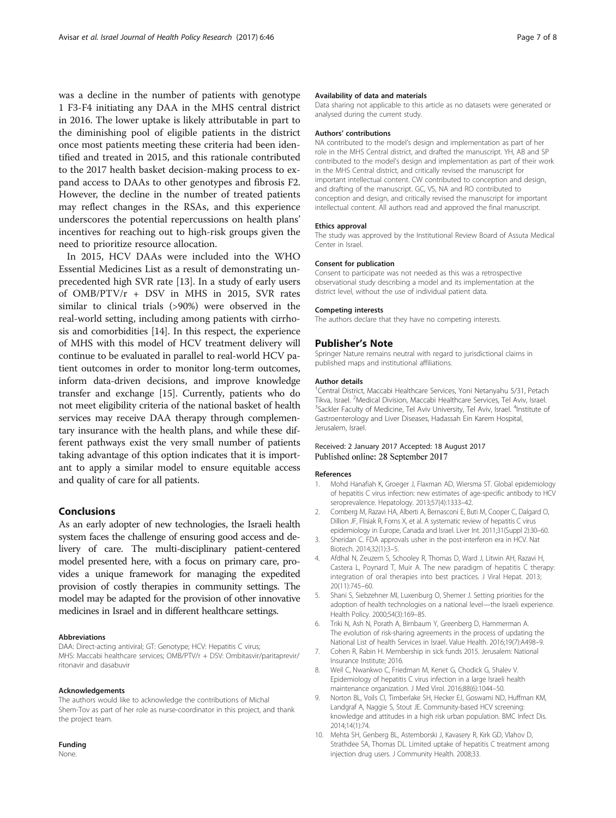<span id="page-6-0"></span>was a decline in the number of patients with genotype 1 F3-F4 initiating any DAA in the MHS central district in 2016. The lower uptake is likely attributable in part to the diminishing pool of eligible patients in the district once most patients meeting these criteria had been identified and treated in 2015, and this rationale contributed to the 2017 health basket decision-making process to expand access to DAAs to other genotypes and fibrosis F2. However, the decline in the number of treated patients may reflect changes in the RSAs, and this experience underscores the potential repercussions on health plans' incentives for reaching out to high-risk groups given the need to prioritize resource allocation.

In 2015, HCV DAAs were included into the WHO Essential Medicines List as a result of demonstrating unprecedented high SVR rate [\[13](#page-7-0)]. In a study of early users of OMB/PTV/r + DSV in MHS in 2015, SVR rates similar to clinical trials (>90%) were observed in the real-world setting, including among patients with cirrhosis and comorbidities [\[14](#page-7-0)]. In this respect, the experience of MHS with this model of HCV treatment delivery will continue to be evaluated in parallel to real-world HCV patient outcomes in order to monitor long-term outcomes, inform data-driven decisions, and improve knowledge transfer and exchange [\[15\]](#page-7-0). Currently, patients who do not meet eligibility criteria of the national basket of health services may receive DAA therapy through complementary insurance with the health plans, and while these different pathways exist the very small number of patients taking advantage of this option indicates that it is important to apply a similar model to ensure equitable access and quality of care for all patients.

# Conclusions

As an early adopter of new technologies, the Israeli health system faces the challenge of ensuring good access and delivery of care. The multi-disciplinary patient-centered model presented here, with a focus on primary care, provides a unique framework for managing the expedited provision of costly therapies in community settings. The model may be adapted for the provision of other innovative medicines in Israel and in different healthcare settings.

#### Abbreviations

DAA: Direct-acting antiviral; GT: Genotype; HCV: Hepatitis C virus; MHS: Maccabi healthcare services; OMB/PTV/r + DSV: Ombitasvir/paritaprevir/ ritonavir and dasabuvir

#### Acknowledgements

The authors would like to acknowledge the contributions of Michal Shem-Tov as part of her role as nurse-coordinator in this project, and thank the project team.

#### Funding

None.

#### Availability of data and materials

Data sharing not applicable to this article as no datasets were generated or analysed during the current study.

#### Authors' contributions

NA contributed to the model's design and implementation as part of her role in the MHS Central district, and drafted the manuscript. YH, AB and SP contributed to the model's design and implementation as part of their work in the MHS Central district, and critically revised the manuscript for important intellectual content. CW contributed to conception and design, and drafting of the manuscript. GC, VS, NA and RO contributed to conception and design, and critically revised the manuscript for important intellectual content. All authors read and approved the final manuscript.

#### Ethics approval

The study was approved by the Institutional Review Board of Assuta Medical Center in Israel.

#### Consent for publication

Consent to participate was not needed as this was a retrospective observational study describing a model and its implementation at the district level, without the use of individual patient data.

#### Competing interests

The authors declare that they have no competing interests.

#### Publisher's Note

Springer Nature remains neutral with regard to jurisdictional claims in published maps and institutional affiliations.

#### Author details

<sup>1</sup>Central District, Maccabi Healthcare Services, Yoni Netanyahu 5/31, Petach Tikva, Israel. <sup>2</sup>Medical Division, Maccabi Healthcare Services, Tel Aviv, Israel.<br><sup>3</sup>Sacklor Faculty of Medicine, Tel Aviv, University, Tel Aviv, Israel. <sup>4</sup>Institute c Sackler Faculty of Medicine, Tel Aviv University, Tel Aviv, Israel. <sup>4</sup>Institute of Gastroenterology and Liver Diseases, Hadassah Ein Karem Hospital, Jerusalem, Israel.

## Received: 2 January 2017 Accepted: 18 August 2017 Published online: 28 September 2017

#### References

- 1. Mohd Hanafiah K, Groeger J, Flaxman AD, Wiersma ST. Global epidemiology of hepatitis C virus infection: new estimates of age-specific antibody to HCV seroprevalence. Hepatology. 2013;57(4):1333–42.
- 2. Cornberg M, Razavi HA, Alberti A, Bernasconi E, Buti M, Cooper C, Dalgard O, Dillion JF, Flisiak R, Forns X, et al. A systematic review of hepatitis C virus epidemiology in Europe, Canada and Israel. Liver Int. 2011;31(Suppl 2):30–60.
- 3. Sheridan C. FDA approvals usher in the post-interferon era in HCV. Nat Biotech. 2014;32(1):3–5.
- 4. Afdhal N, Zeuzem S, Schooley R, Thomas D, Ward J, Litwin AH, Razavi H, Castera L, Poynard T, Muir A. The new paradigm of hepatitis C therapy: integration of oral therapies into best practices. J Viral Hepat. 2013; 20(11):745–60.
- 5. Shani S, Siebzehner MI, Luxenburg O, Shemer J. Setting priorities for the adoption of health technologies on a national level—the Israeli experience. Health Policy. 2000;54(3):169–85.
- 6. Triki N, Ash N, Porath A, Birnbaum Y, Greenberg D, Hammerman A. The evolution of risk-sharing agreements in the process of updating the National List of health Services in Israel. Value Health. 2016;19(7):A498–9.
- 7. Cohen R, Rabin H. Membership in sick funds 2015. Jerusalem: National Insurance Institute; 2016.
- Weil C, Nwankwo C, Friedman M, Kenet G, Chodick G, Shalev V. Epidemiology of hepatitis C virus infection in a large Israeli health maintenance organization. J Med Virol. 2016;88(6):1044–50.
- 9. Norton BL, Voils CI, Timberlake SH, Hecker EJ, Goswami ND, Huffman KM, Landgraf A, Naggie S, Stout JE. Community-based HCV screening: knowledge and attitudes in a high risk urban population. BMC Infect Dis. 2014;14(1):74.
- 10. Mehta SH, Genberg BL, Astemborski J, Kavasery R, Kirk GD, Vlahov D, Strathdee SA, Thomas DL. Limited uptake of hepatitis C treatment among injection drug users. J Community Health. 2008;33.